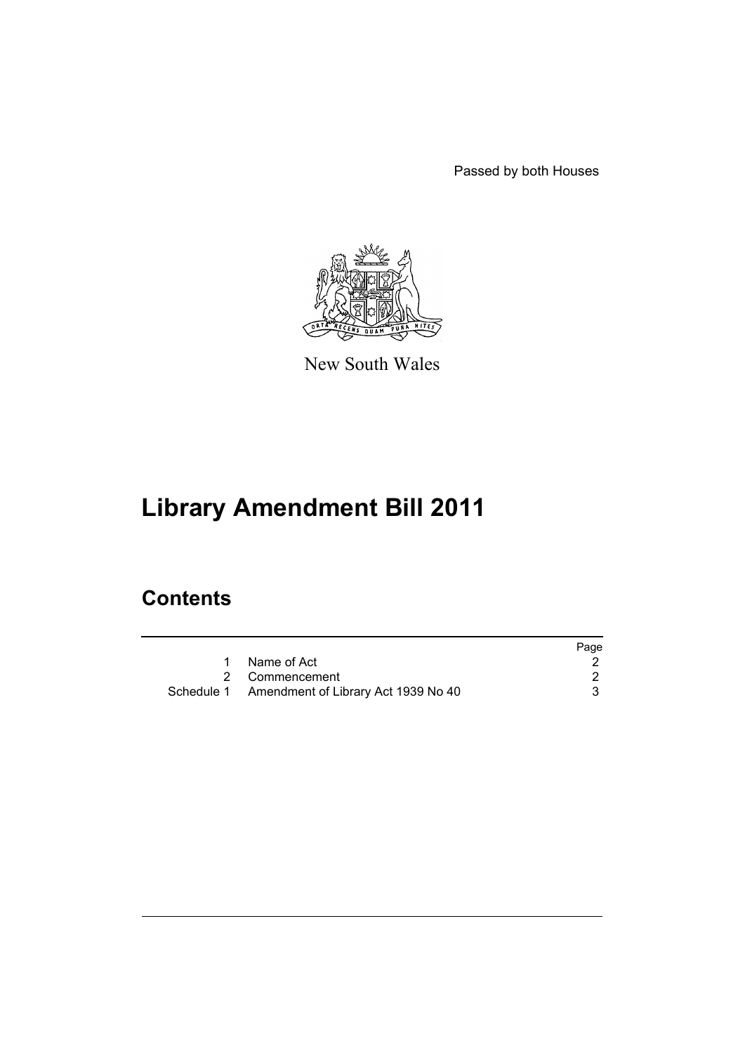Passed by both Houses



New South Wales

# **Library Amendment Bill 2011**

## **Contents**

|                                                | Page |
|------------------------------------------------|------|
| Name of Act                                    |      |
| 2 Commencement                                 |      |
| Schedule 1 Amendment of Library Act 1939 No 40 |      |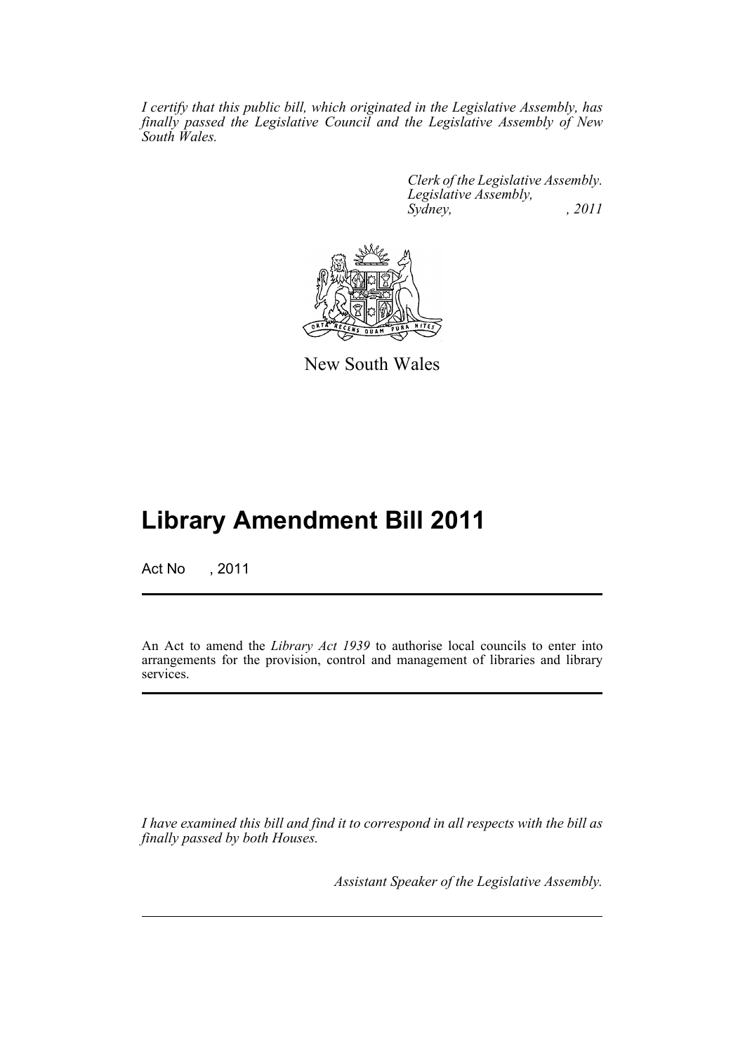*I certify that this public bill, which originated in the Legislative Assembly, has finally passed the Legislative Council and the Legislative Assembly of New South Wales.*

> *Clerk of the Legislative Assembly. Legislative Assembly, Sydney, , 2011*



New South Wales

## **Library Amendment Bill 2011**

Act No , 2011

An Act to amend the *Library Act 1939* to authorise local councils to enter into arrangements for the provision, control and management of libraries and library services.

*I have examined this bill and find it to correspond in all respects with the bill as finally passed by both Houses.*

*Assistant Speaker of the Legislative Assembly.*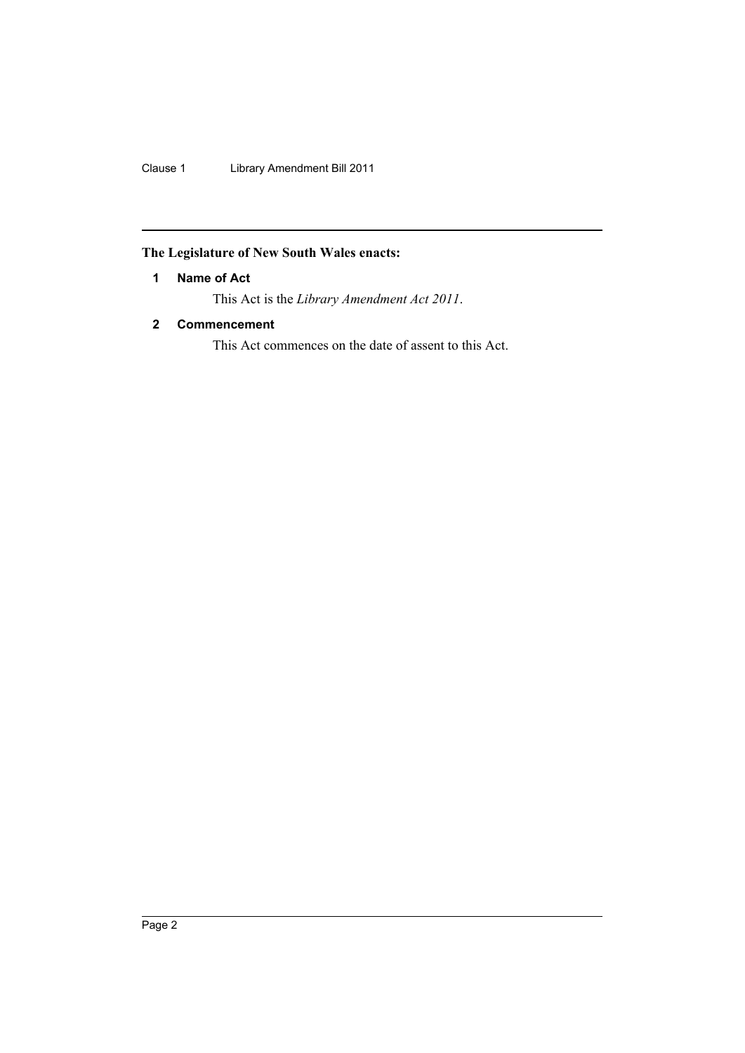Clause 1 Library Amendment Bill 2011

## <span id="page-3-0"></span>**The Legislature of New South Wales enacts:**

## **1 Name of Act**

This Act is the *Library Amendment Act 2011*.

## <span id="page-3-1"></span>**2 Commencement**

This Act commences on the date of assent to this Act.